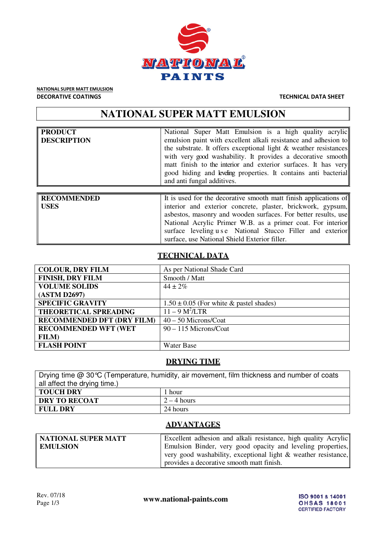

NATIONAL SUPER MATT EMULSION DECORATIVE COATINGS TECHNICAL DATA SHEET

# **NATIONAL SUPER MATT EMULSION**

| <b>PRODUCT</b><br><b>DESCRIPTION</b> | National Super Matt Emulsion is a high quality acrylic<br>emulsion paint with excellent alkali resistance and adhesion to<br>the substrate. It offers exceptional light $\&$ weather resistances<br>with very good washability. It provides a decorative smooth<br>matt finish to the interior and exterior surfaces. It has very<br>good hiding and leveling properties. It contains anti bacterial<br>and anti fungal additives. |
|--------------------------------------|------------------------------------------------------------------------------------------------------------------------------------------------------------------------------------------------------------------------------------------------------------------------------------------------------------------------------------------------------------------------------------------------------------------------------------|
| <b>RECOMMENDED</b><br><b>USES</b>    | It is used for the decorative smooth matt finish applications of<br>interior and exterior concrete, plaster, brickwork, gypsum,<br>asbestos, masonry and wooden surfaces. For better results, use<br>National Acrylic Primer W.B. as a primer coat. For interior<br>surface leveling u s e National Stucco Filler and exterior                                                                                                     |

# **TECHNICAL DATA**

surface, use National Shield Exterior filler.

| <b>COLOUR, DRY FILM</b>           | As per National Shade Card                  |
|-----------------------------------|---------------------------------------------|
| <b>FINISH, DRY FILM</b>           | Smooth / Matt                               |
| <b>VOLUME SOLIDS</b>              | $44 \pm 2\%$                                |
| (ASTM D2697)                      |                                             |
| <b>SPECIFIC GRAVITY</b>           | $1.50 \pm 0.05$ (For white & pastel shades) |
| <b>THEORETICAL SPREADING</b>      | $11 - 9 M^2 / LTR$                          |
| <b>RECOMMENDED DFT (DRY FILM)</b> | $40 - 50$ Microns/Coat                      |
| <b>RECOMMENDED WFT (WET</b>       | 90 - 115 Microns/Coat                       |
| <b>FILM</b> )                     |                                             |
| <b>FLASH POINT</b>                | Water Base                                  |

# **DRYING TIME**

| Drying time $@30^{\circ}\text{C}$ (Temperature, humidity, air movement, film thickness and number of coats |               |  |
|------------------------------------------------------------------------------------------------------------|---------------|--|
| all affect the drying time.)                                                                               |               |  |
| <b>TOUCH DRY</b>                                                                                           | 1 hour        |  |
| <b>DRY TO RECOAT</b>                                                                                       | $2 - 4$ hours |  |
| <b>FULL DRY</b>                                                                                            | 24 hours      |  |

### **ADVANTAGES**

| NATIONAL SUPER MATT | Excellent adhesion and alkali resistance, high quality Acrylic    |
|---------------------|-------------------------------------------------------------------|
| <b>EMULSION</b>     | Emulsion Binder, very good opacity and leveling properties,       |
|                     | very good washability, exceptional light $\&$ weather resistance, |
|                     | provides a decorative smooth matt finish.                         |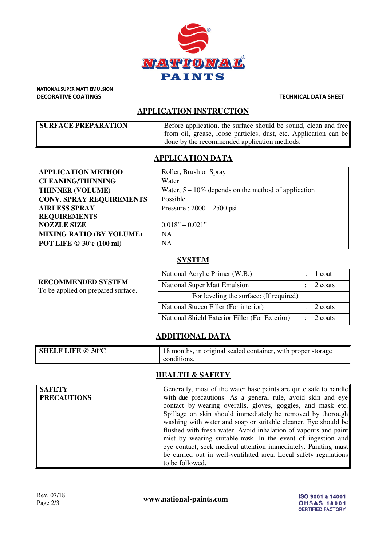

NATIONAL SUPER MATT EMULSION DECORATIVE COATINGS TECHNICAL DATA SHEET

# **APPLICATION INSTRUCTION**

| <b>SURFACE PREPARATION</b> | Before application, the surface should be sound, clean and free  |
|----------------------------|------------------------------------------------------------------|
|                            | from oil, grease, loose particles, dust, etc. Application can be |
|                            | I done by the recommended application methods.                   |

# **APPLICATION DATA**

| <b>APPLICATION METHOD</b>       | Roller, Brush or Spray                                 |
|---------------------------------|--------------------------------------------------------|
| <b>CLEANING/THINNING</b>        | Water                                                  |
| <b>THINNER (VOLUME)</b>         | Water, $5 - 10\%$ depends on the method of application |
| <b>CONV. SPRAY REQUIREMENTS</b> | Possible                                               |
| <b>AIRLESS SPRAY</b>            | Pressure: $2000 - 2500$ psi                            |
| <b>REQUIREMENTS</b>             |                                                        |
| <b>NOZZLE SIZE</b>              | $0.018" - 0.021"$                                      |
| <b>MIXING RATIO (BY VOLUME)</b> | <b>NA</b>                                              |
| POT LIFE @ 30°c (100 ml)        | <b>NA</b>                                              |

# **SYSTEM**

| <b>RECOMMENDED SYSTEM</b><br>To be applied on prepared surface. | National Acrylic Primer (W.B.)                 | l coat  |
|-----------------------------------------------------------------|------------------------------------------------|---------|
|                                                                 | <b>National Super Matt Emulsion</b>            | 2 coats |
|                                                                 | For leveling the surface: (If required)        |         |
|                                                                 | National Stucco Filler (For interior)          | 2 coats |
|                                                                 | National Shield Exterior Filler (For Exterior) | 2 coats |

# **ADDITIONAL DATA**

| <b>SHELF LIFE @ 30°C</b> | $\frac{1}{8}$ 18 months, in original sealed container, with proper storage |
|--------------------------|----------------------------------------------------------------------------|
|                          | conditions.                                                                |

# **HEALTH & SAFETY**

| <b>SAFETY</b>      | Generally, most of the water base paints are quite safe to handle |
|--------------------|-------------------------------------------------------------------|
| <b>PRECAUTIONS</b> | with due precautions. As a general rule, avoid skin and eye       |
|                    | contact by wearing overalls, gloves, goggles, and mask etc.       |
|                    | Spillage on skin should immediately be removed by thorough        |
|                    | washing with water and soap or suitable cleaner. Eye should be    |
|                    | flushed with fresh water. Avoid inhalation of vapours and paint   |
|                    | mist by wearing suitable mask. In the event of ingestion and      |
|                    | eye contact, seek medical attention immediately. Painting must    |
|                    | be carried out in well-ventilated area. Local safety regulations  |
|                    | to be followed.                                                   |

www.national-paints.com

ISO 9001 & 14001 **OHSAS 18001 CERTIFIED FACTORY**